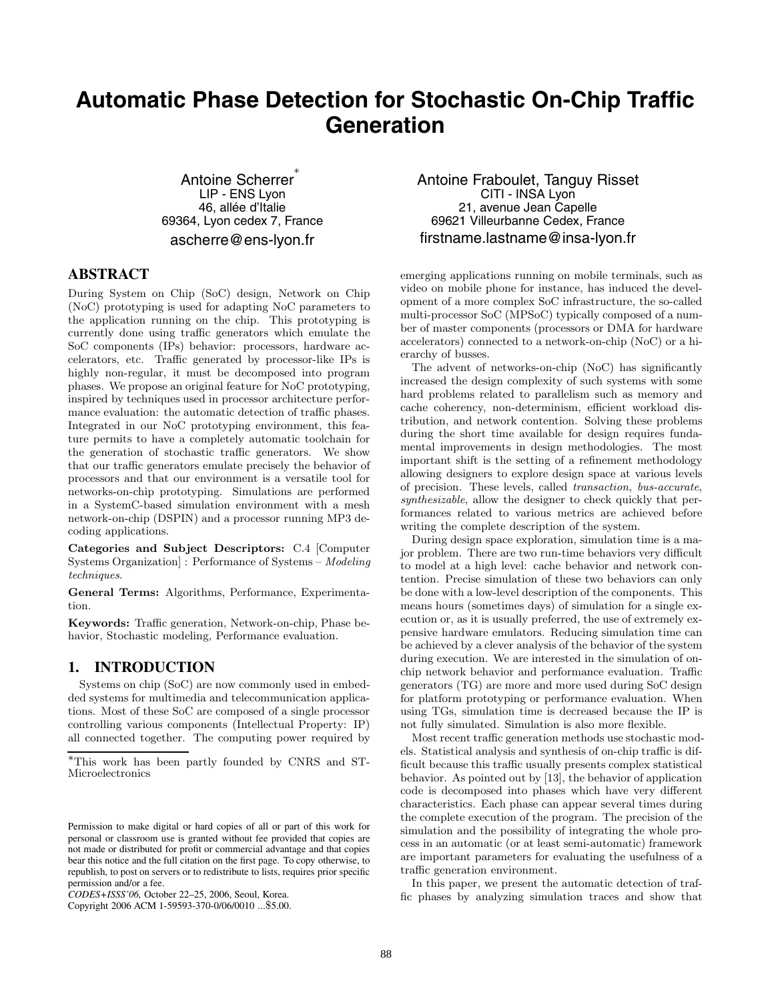# **Automatic Phase Detection for Stochastic On-Chip Traffic Generation**

Antoine Scherrer LIP - ENS Lyon 46, allée d'Italie 69364, Lyon cedex 7, France ascherre@ens-lyon.fr

# **ABSTRACT**

During System on Chip (SoC) design, Network on Chip (NoC) prototyping is used for adapting NoC parameters to the application running on the chip. This prototyping is currently done using traffic generators which emulate the SoC components (IPs) behavior: processors, hardware accelerators, etc. Traffic generated by processor-like IPs is highly non-regular, it must be decomposed into program phases. We propose an original feature for NoC prototyping, inspired by techniques used in processor architecture performance evaluation: the automatic detection of traffic phases. Integrated in our NoC prototyping environment, this feature permits to have a completely automatic toolchain for the generation of stochastic traffic generators. We show that our traffic generators emulate precisely the behavior of processors and that our environment is a versatile tool for networks-on-chip prototyping. Simulations are performed in a SystemC-based simulation environment with a mesh network-on-chip (DSPIN) and a processor running MP3 decoding applications.

**Categories and Subject Descriptors:** C.4 [Computer Systems Organization] : Performance of Systems – *Modeling techniques*.

**General Terms:** Algorithms, Performance, Experimentation.

**Keywords:** Traffic generation, Network-on-chip, Phase behavior, Stochastic modeling, Performance evaluation.

# **1. INTRODUCTION**

Systems on chip (SoC) are now commonly used in embedded systems for multimedia and telecommunication applications. Most of these SoC are composed of a single processor controlling various components (Intellectual Property: IP) all connected together. The computing power required by

Antoine Fraboulet, Tanguy Risset CITI - INSA Lyon 21, avenue Jean Capelle 69621 Villeurbanne Cedex, France firstname.lastname@insa-lyon.fr

emerging applications running on mobile terminals, such as video on mobile phone for instance, has induced the development of a more complex SoC infrastructure, the so-called multi-processor SoC (MPSoC) typically composed of a number of master components (processors or DMA for hardware accelerators) connected to a network-on-chip (NoC) or a hierarchy of busses.

The advent of networks-on-chip (NoC) has significantly increased the design complexity of such systems with some hard problems related to parallelism such as memory and cache coherency, non-determinism, efficient workload distribution, and network contention. Solving these problems during the short time available for design requires fundamental improvements in design methodologies. The most important shift is the setting of a refinement methodology allowing designers to explore design space at various levels of precision. These levels, called *transaction*, *bus-accurate*, *synthesizable*, allow the designer to check quickly that performances related to various metrics are achieved before writing the complete description of the system.

During design space exploration, simulation time is a major problem. There are two run-time behaviors very difficult to model at a high level: cache behavior and network contention. Precise simulation of these two behaviors can only be done with a low-level description of the components. This means hours (sometimes days) of simulation for a single execution or, as it is usually preferred, the use of extremely expensive hardware emulators. Reducing simulation time can be achieved by a clever analysis of the behavior of the system during execution. We are interested in the simulation of onchip network behavior and performance evaluation. Traffic generators (TG) are more and more used during SoC design for platform prototyping or performance evaluation. When using TGs, simulation time is decreased because the IP is not fully simulated. Simulation is also more flexible.

Most recent traffic generation methods use stochastic models. Statistical analysis and synthesis of on-chip traffic is difficult because this traffic usually presents complex statistical behavior. As pointed out by [13], the behavior of application code is decomposed into phases which have very different characteristics. Each phase can appear several times during the complete execution of the program. The precision of the simulation and the possibility of integrating the whole process in an automatic (or at least semi-automatic) framework are important parameters for evaluating the usefulness of a traffic generation environment.

In this paper, we present the automatic detection of traffic phases by analyzing simulation traces and show that

<sup>∗</sup>This work has been partly founded by CNRS and ST-Microelectronics

Permission to make digital or hard copies of all or part of this work for personal or classroom use is granted without fee provided that copies are not made or distributed for profit or commercial advantage and that copies bear this notice and the full citation on the first page. To copy otherwise, to republish, to post on servers or to redistribute to lists, requires prior specific permission and/or a fee.

*CODES+ISSS'06,* October 22–25, 2006, Seoul, Korea.

Copyright 2006 ACM 1-59593-370-0/06/0010 ...\$5.00.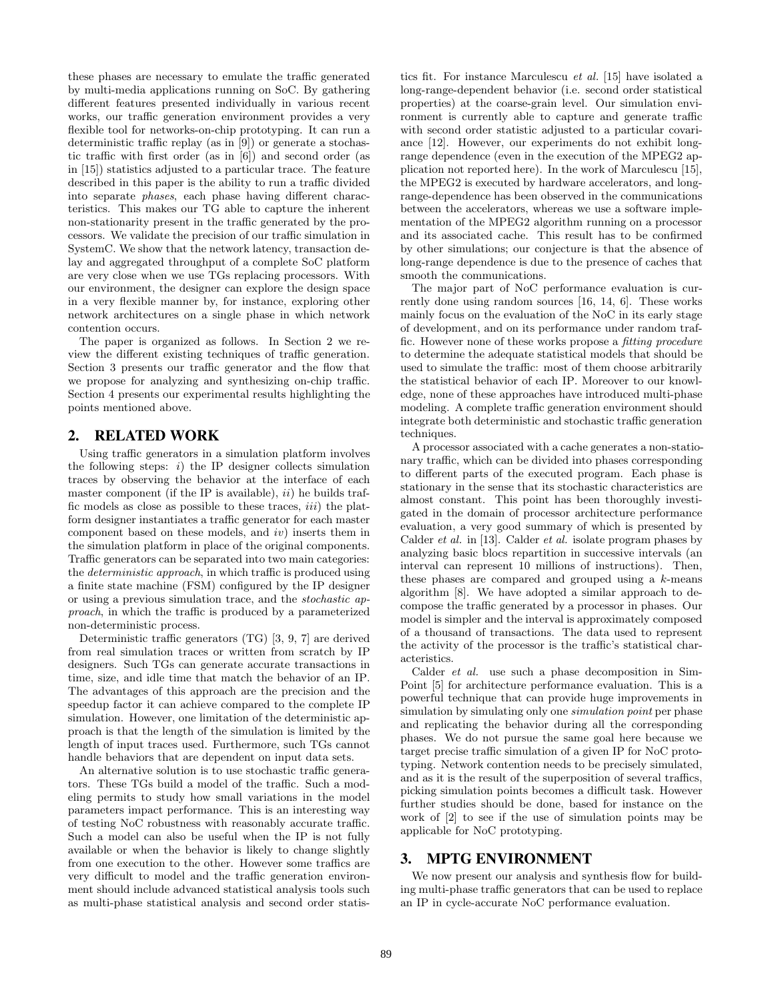these phases are necessary to emulate the traffic generated by multi-media applications running on SoC. By gathering different features presented individually in various recent works, our traffic generation environment provides a very flexible tool for networks-on-chip prototyping. It can run a deterministic traffic replay (as in [9]) or generate a stochastic traffic with first order (as in [6]) and second order (as in [15]) statistics adjusted to a particular trace. The feature described in this paper is the ability to run a traffic divided into separate *phases*, each phase having different characteristics. This makes our TG able to capture the inherent non-stationarity present in the traffic generated by the processors. We validate the precision of our traffic simulation in SystemC. We show that the network latency, transaction delay and aggregated throughput of a complete SoC platform are very close when we use TGs replacing processors. With our environment, the designer can explore the design space in a very flexible manner by, for instance, exploring other network architectures on a single phase in which network contention occurs.

The paper is organized as follows. In Section 2 we review the different existing techniques of traffic generation. Section 3 presents our traffic generator and the flow that we propose for analyzing and synthesizing on-chip traffic. Section 4 presents our experimental results highlighting the points mentioned above.

# **2. RELATED WORK**

Using traffic generators in a simulation platform involves the following steps:  $i)$  the IP designer collects simulation traces by observing the behavior at the interface of each master component (if the IP is available), *ii*) he builds traffic models as close as possible to these traces, *iii*) the platform designer instantiates a traffic generator for each master component based on these models, and *iv*) inserts them in the simulation platform in place of the original components. Traffic generators can be separated into two main categories: the *deterministic approach*, in which traffic is produced using a finite state machine (FSM) configured by the IP designer or using a previous simulation trace, and the *stochastic approach*, in which the traffic is produced by a parameterized non-deterministic process.

Deterministic traffic generators (TG) [3, 9, 7] are derived from real simulation traces or written from scratch by IP designers. Such TGs can generate accurate transactions in time, size, and idle time that match the behavior of an IP. The advantages of this approach are the precision and the speedup factor it can achieve compared to the complete IP simulation. However, one limitation of the deterministic approach is that the length of the simulation is limited by the length of input traces used. Furthermore, such TGs cannot handle behaviors that are dependent on input data sets.

An alternative solution is to use stochastic traffic generators. These TGs build a model of the traffic. Such a modeling permits to study how small variations in the model parameters impact performance. This is an interesting way of testing NoC robustness with reasonably accurate traffic. Such a model can also be useful when the IP is not fully available or when the behavior is likely to change slightly from one execution to the other. However some traffics are very difficult to model and the traffic generation environment should include advanced statistical analysis tools such as multi-phase statistical analysis and second order statistics fit. For instance Marculescu *et al.* [15] have isolated a long-range-dependent behavior (i.e. second order statistical properties) at the coarse-grain level. Our simulation environment is currently able to capture and generate traffic with second order statistic adjusted to a particular covariance [12]. However, our experiments do not exhibit longrange dependence (even in the execution of the MPEG2 application not reported here). In the work of Marculescu [15], the MPEG2 is executed by hardware accelerators, and longrange-dependence has been observed in the communications between the accelerators, whereas we use a software implementation of the MPEG2 algorithm running on a processor and its associated cache. This result has to be confirmed by other simulations; our conjecture is that the absence of long-range dependence is due to the presence of caches that smooth the communications.

The major part of NoC performance evaluation is currently done using random sources [16, 14, 6]. These works mainly focus on the evaluation of the NoC in its early stage of development, and on its performance under random traffic. However none of these works propose a *fitting procedure* to determine the adequate statistical models that should be used to simulate the traffic: most of them choose arbitrarily the statistical behavior of each IP. Moreover to our knowledge, none of these approaches have introduced multi-phase modeling. A complete traffic generation environment should integrate both deterministic and stochastic traffic generation techniques.

A processor associated with a cache generates a non-stationary traffic, which can be divided into phases corresponding to different parts of the executed program. Each phase is stationary in the sense that its stochastic characteristics are almost constant. This point has been thoroughly investigated in the domain of processor architecture performance evaluation, a very good summary of which is presented by Calder *et al.* in [13]. Calder *et al.* isolate program phases by analyzing basic blocs repartition in successive intervals (an interval can represent 10 millions of instructions). Then, these phases are compared and grouped using a *k*-means algorithm [8]. We have adopted a similar approach to decompose the traffic generated by a processor in phases. Our model is simpler and the interval is approximately composed of a thousand of transactions. The data used to represent the activity of the processor is the traffic's statistical characteristics.

Calder *et al.* use such a phase decomposition in Sim-Point [5] for architecture performance evaluation. This is a powerful technique that can provide huge improvements in simulation by simulating only one *simulation point* per phase and replicating the behavior during all the corresponding phases. We do not pursue the same goal here because we target precise traffic simulation of a given IP for NoC prototyping. Network contention needs to be precisely simulated, and as it is the result of the superposition of several traffics, picking simulation points becomes a difficult task. However further studies should be done, based for instance on the work of [2] to see if the use of simulation points may be applicable for NoC prototyping.

## **3. MPTG ENVIRONMENT**

We now present our analysis and synthesis flow for building multi-phase traffic generators that can be used to replace an IP in cycle-accurate NoC performance evaluation.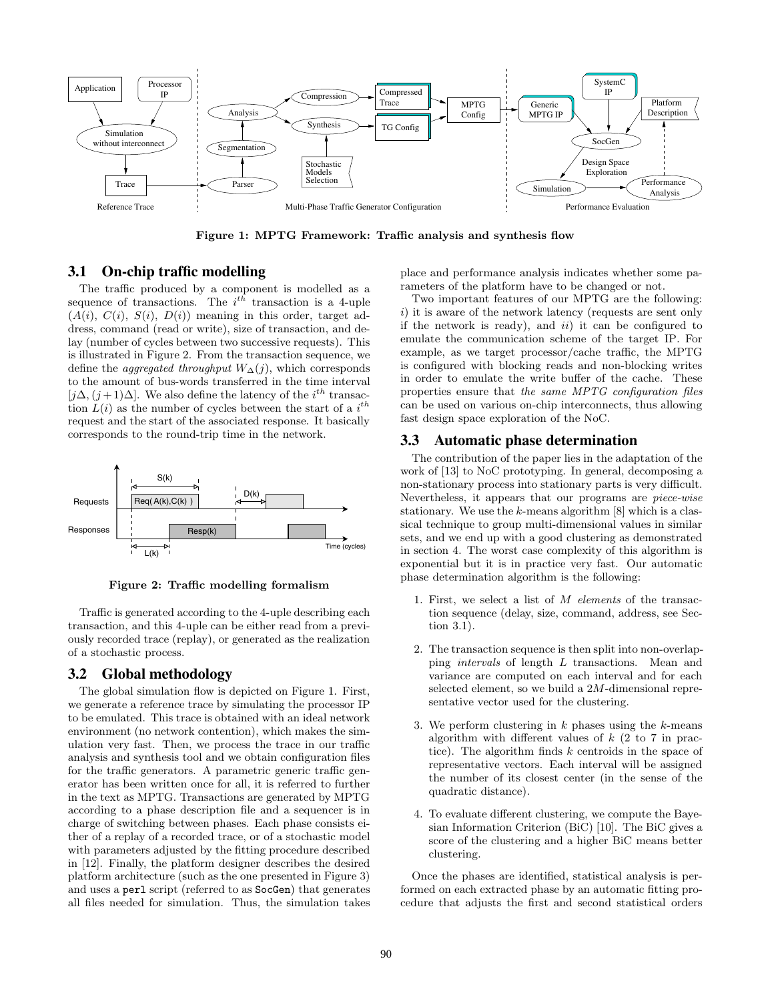

**Figure 1: MPTG Framework: Traffic analysis and synthesis flow**

#### **3.1 On-chip traffic modelling**

The traffic produced by a component is modelled as a sequence of transactions. The  $i^{th}$  transaction is a 4-uple  $(A(i), C(i), S(i), D(i))$  meaning in this order, target address, command (read or write), size of transaction, and delay (number of cycles between two successive requests). This is illustrated in Figure 2. From the transaction sequence, we define the *aggregated throughput*  $W_{\Delta}(j)$ , which corresponds to the amount of bus-words transferred in the time interval  $[j\Delta, (j+1)\Delta]$ . We also define the latency of the *i*<sup>th</sup> transaction  $L(i)$  as the number of cycles between the start of a  $i<sup>th</sup>$ request and the start of the associated response. It basically corresponds to the round-trip time in the network.



**Figure 2: Traffic modelling formalism**

Traffic is generated according to the 4-uple describing each transaction, and this 4-uple can be either read from a previously recorded trace (replay), or generated as the realization of a stochastic process.

# **3.2 Global methodology**

The global simulation flow is depicted on Figure 1. First, we generate a reference trace by simulating the processor IP to be emulated. This trace is obtained with an ideal network environment (no network contention), which makes the simulation very fast. Then, we process the trace in our traffic analysis and synthesis tool and we obtain configuration files for the traffic generators. A parametric generic traffic generator has been written once for all, it is referred to further in the text as MPTG. Transactions are generated by MPTG according to a phase description file and a sequencer is in charge of switching between phases. Each phase consists either of a replay of a recorded trace, or of a stochastic model with parameters adjusted by the fitting procedure described in [12]. Finally, the platform designer describes the desired platform architecture (such as the one presented in Figure 3) and uses a perl script (referred to as SocGen) that generates all files needed for simulation. Thus, the simulation takes

place and performance analysis indicates whether some parameters of the platform have to be changed or not.

Two important features of our MPTG are the following: *i*) it is aware of the network latency (requests are sent only if the network is ready), and *ii*) it can be configured to emulate the communication scheme of the target IP. For example, as we target processor/cache traffic, the MPTG is configured with blocking reads and non-blocking writes in order to emulate the write buffer of the cache. These properties ensure that *the same MPTG configuration files* can be used on various on-chip interconnects, thus allowing fast design space exploration of the NoC.

## **3.3 Automatic phase determination**

The contribution of the paper lies in the adaptation of the work of [13] to NoC prototyping. In general, decomposing a non-stationary process into stationary parts is very difficult. Nevertheless, it appears that our programs are *piece-wise* stationary. We use the *k*-means algorithm [8] which is a classical technique to group multi-dimensional values in similar sets, and we end up with a good clustering as demonstrated in section 4. The worst case complexity of this algorithm is exponential but it is in practice very fast. Our automatic phase determination algorithm is the following:

- 1. First, we select a list of *M elements* of the transaction sequence (delay, size, command, address, see Section 3.1).
- 2. The transaction sequence is then split into non-overlapping *intervals* of length *L* transactions. Mean and variance are computed on each interval and for each selected element, so we build a 2*M*-dimensional representative vector used for the clustering.
- 3. We perform clustering in *k* phases using the *k*-means algorithm with different values of *k* (2 to 7 in practice). The algorithm finds *k* centroids in the space of representative vectors. Each interval will be assigned the number of its closest center (in the sense of the quadratic distance).
- 4. To evaluate different clustering, we compute the Bayesian Information Criterion (BiC) [10]. The BiC gives a score of the clustering and a higher BiC means better clustering.

Once the phases are identified, statistical analysis is performed on each extracted phase by an automatic fitting procedure that adjusts the first and second statistical orders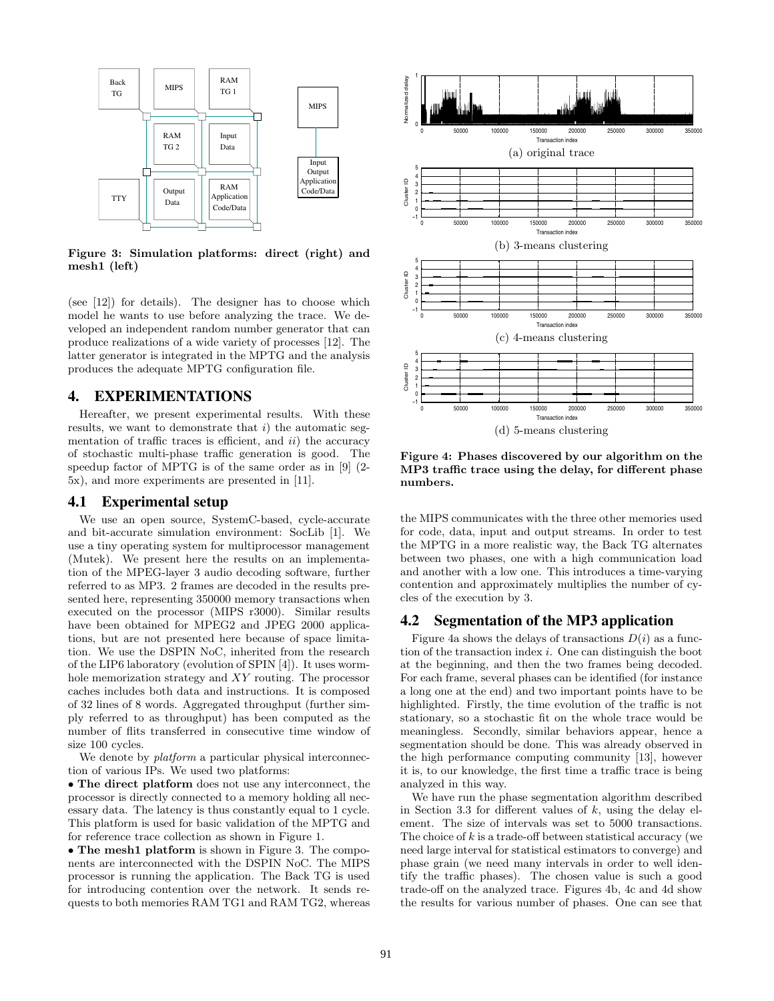

**Figure 3: Simulation platforms: direct (right) and mesh1 (left)**

(see [12]) for details). The designer has to choose which model he wants to use before analyzing the trace. We developed an independent random number generator that can produce realizations of a wide variety of processes [12]. The latter generator is integrated in the MPTG and the analysis produces the adequate MPTG configuration file.

# **4. EXPERIMENTATIONS**

Hereafter, we present experimental results. With these results, we want to demonstrate that *i*) the automatic segmentation of traffic traces is efficient, and *ii*) the accuracy of stochastic multi-phase traffic generation is good. The speedup factor of MPTG is of the same order as in [9] (2- 5x), and more experiments are presented in [11].

#### **4.1 Experimental setup**

We use an open source, SystemC-based, cycle-accurate and bit-accurate simulation environment: SocLib [1]. We use a tiny operating system for multiprocessor management (Mutek). We present here the results on an implementation of the MPEG-layer 3 audio decoding software, further referred to as MP3. 2 frames are decoded in the results presented here, representing 350000 memory transactions when executed on the processor (MIPS r3000). Similar results have been obtained for MPEG2 and JPEG 2000 applications, but are not presented here because of space limitation. We use the DSPIN NoC, inherited from the research of the LIP6 laboratory (evolution of SPIN [4]). It uses wormhole memorization strategy and *XY* routing. The processor caches includes both data and instructions. It is composed of 32 lines of 8 words. Aggregated throughput (further simply referred to as throughput) has been computed as the number of flits transferred in consecutive time window of size 100 cycles.

We denote by *platform* a particular physical interconnection of various IPs. We used two platforms:

• **The direct platform** does not use any interconnect, the processor is directly connected to a memory holding all necessary data. The latency is thus constantly equal to 1 cycle. This platform is used for basic validation of the MPTG and for reference trace collection as shown in Figure 1.

• **The mesh1 platform** is shown in Figure 3. The components are interconnected with the DSPIN NoC. The MIPS processor is running the application. The Back TG is used for introducing contention over the network. It sends requests to both memories RAM TG1 and RAM TG2, whereas



**Figure 4: Phases discovered by our algorithm on the MP3 traffic trace using the delay, for different phase numbers.**

the MIPS communicates with the three other memories used for code, data, input and output streams. In order to test the MPTG in a more realistic way, the Back TG alternates between two phases, one with a high communication load and another with a low one. This introduces a time-varying contention and approximately multiplies the number of cycles of the execution by 3.

### **4.2 Segmentation of the MP3 application**

Figure 4a shows the delays of transactions  $D(i)$  as a function of the transaction index *i*. One can distinguish the boot at the beginning, and then the two frames being decoded. For each frame, several phases can be identified (for instance a long one at the end) and two important points have to be highlighted. Firstly, the time evolution of the traffic is not stationary, so a stochastic fit on the whole trace would be meaningless. Secondly, similar behaviors appear, hence a segmentation should be done. This was already observed in the high performance computing community [13], however it is, to our knowledge, the first time a traffic trace is being analyzed in this way.

We have run the phase segmentation algorithm described in Section 3.3 for different values of *k*, using the delay element. The size of intervals was set to 5000 transactions. The choice of *k* is a trade-off between statistical accuracy (we need large interval for statistical estimators to converge) and phase grain (we need many intervals in order to well identify the traffic phases). The chosen value is such a good trade-off on the analyzed trace. Figures 4b, 4c and 4d show the results for various number of phases. One can see that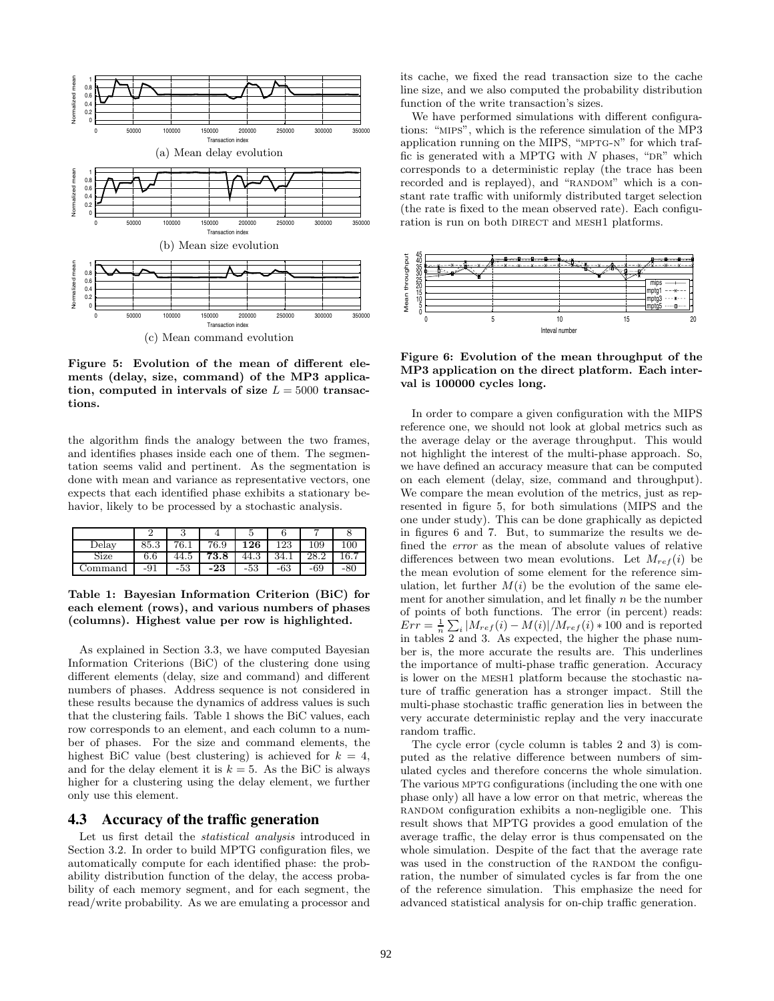

**Figure 5: Evolution of the mean of different elements (delay, size, command) of the MP3 applica**tion, computed in intervals of size  $L = 5000$  transac**tions.**

the algorithm finds the analogy between the two frames, and identifies phases inside each one of them. The segmentation seems valid and pertinent. As the segmentation is done with mean and variance as representative vectors, one expects that each identified phase exhibits a stationary behavior, likely to be processed by a stochastic analysis.

|         |      | u    |      |      |      |     |      |
|---------|------|------|------|------|------|-----|------|
| Delay   | 85.3 | 76.1 | 76.9 | 126  | 123  | 109 | 100  |
| Size    | 6.6  | 44.5 | 73.8 | 44.3 | 34.1 |     | 16.7 |
| ommand/ | -91  | -53  | -23  | -53  | -63  | -69 | -86  |

**Table 1: Bayesian Information Criterion (BiC) for each element (rows), and various numbers of phases (columns). Highest value per row is highlighted.**

As explained in Section 3.3, we have computed Bayesian Information Criterions (BiC) of the clustering done using different elements (delay, size and command) and different numbers of phases. Address sequence is not considered in these results because the dynamics of address values is such that the clustering fails. Table 1 shows the BiC values, each row corresponds to an element, and each column to a number of phases. For the size and command elements, the highest BiC value (best clustering) is achieved for  $k = 4$ , and for the delay element it is  $k = 5$ . As the BiC is always higher for a clustering using the delay element, we further only use this element.

#### **4.3 Accuracy of the traffic generation**

Let us first detail the *statistical analysis* introduced in Section 3.2. In order to build MPTG configuration files, we automatically compute for each identified phase: the probability distribution function of the delay, the access probability of each memory segment, and for each segment, the read/write probability. As we are emulating a processor and

its cache, we fixed the read transaction size to the cache line size, and we also computed the probability distribution function of the write transaction's sizes.

We have performed simulations with different configurations: "mips", which is the reference simulation of the MP3 application running on the MIPS, "mptg-n" for which traffic is generated with a MPTG with  $N$  phases, "DR" which corresponds to a deterministic replay (the trace has been recorded and is replayed), and "RANDOM" which is a constant rate traffic with uniformly distributed target selection (the rate is fixed to the mean observed rate). Each configuration is run on both DIRECT and MESH1 platforms.



**Figure 6: Evolution of the mean throughput of the MP3 application on the direct platform. Each interval is 100000 cycles long.**

In order to compare a given configuration with the MIPS reference one, we should not look at global metrics such as the average delay or the average throughput. This would not highlight the interest of the multi-phase approach. So, we have defined an accuracy measure that can be computed on each element (delay, size, command and throughput). We compare the mean evolution of the metrics, just as represented in figure 5, for both simulations (MIPS and the one under study). This can be done graphically as depicted in figures 6 and 7. But, to summarize the results we defined the *error* as the mean of absolute values of relative differences between two mean evolutions. Let  $M_{ref}(i)$  be the mean evolution of some element for the reference simulation, let further  $M(i)$  be the evolution of the same element for another simulation, and let finally *n* be the number of points of both functions. The error (in percent) reads:  $Err = \frac{1}{n} \sum_{i} |M_{ref}(i) - M(i)| / M_{ref}(i) * 100$  and is reported in tables 2 and 3. As expected, the higher the phase number is, the more accurate the results are. This underlines the importance of multi-phase traffic generation. Accuracy is lower on the mesh1 platform because the stochastic nature of traffic generation has a stronger impact. Still the multi-phase stochastic traffic generation lies in between the very accurate deterministic replay and the very inaccurate random traffic.

The cycle error (cycle column is tables 2 and 3) is computed as the relative difference between numbers of simulated cycles and therefore concerns the whole simulation. The various MPTG configurations (including the one with one phase only) all have a low error on that metric, whereas the random configuration exhibits a non-negligible one. This result shows that MPTG provides a good emulation of the average traffic, the delay error is thus compensated on the whole simulation. Despite of the fact that the average rate was used in the construction of the RANDOM the configuration, the number of simulated cycles is far from the one of the reference simulation. This emphasize the need for advanced statistical analysis for on-chip traffic generation.